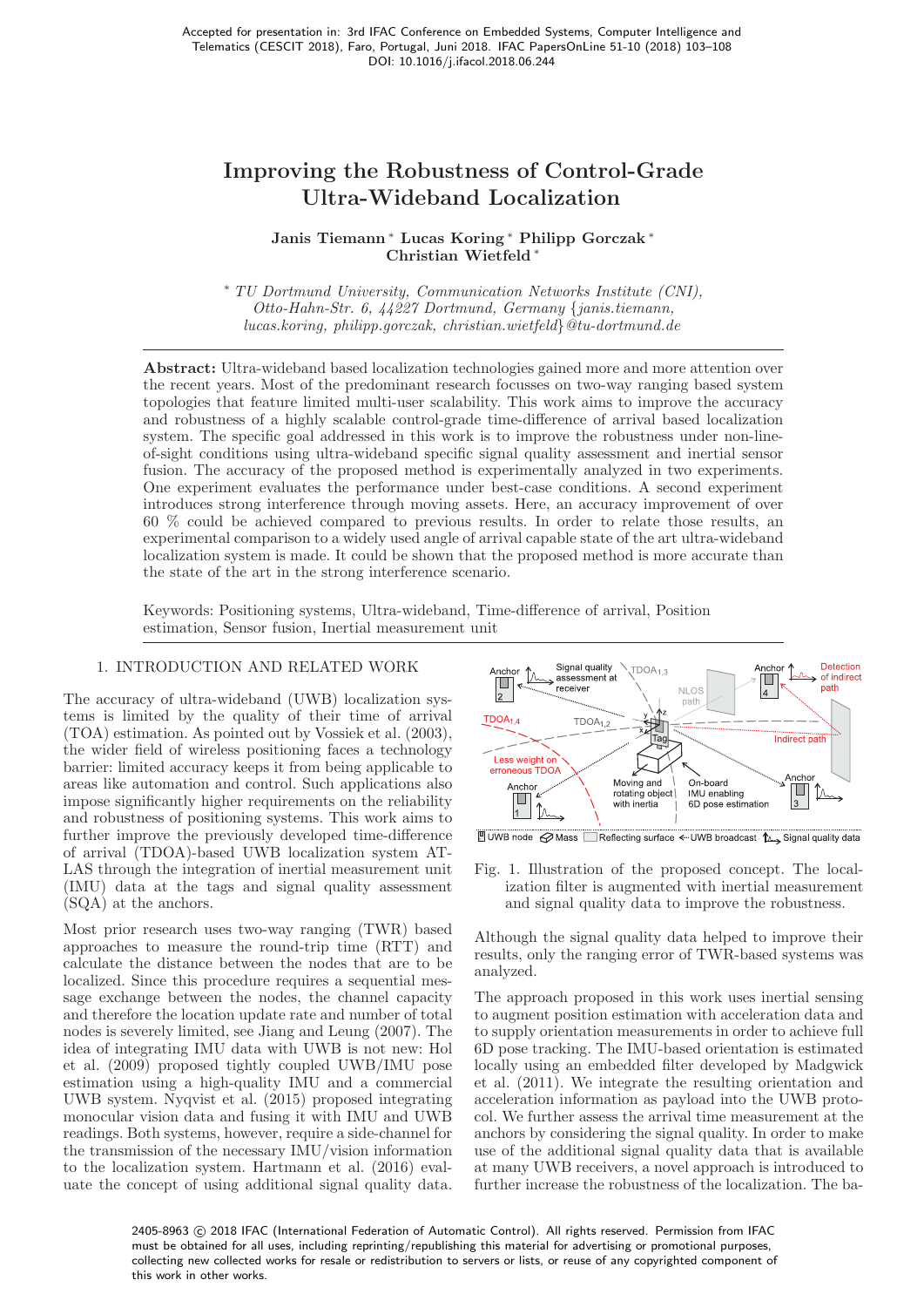# Improving the Robustness of Control-Grade Ultra-Wideband Localization

## Janis Tiemann <sup>∗</sup> Lucas Koring <sup>∗</sup> Philipp Gorczak <sup>∗</sup> Christian Wietfeld <sup>∗</sup>

<sup>∗</sup> TU Dortmund University, Communication Networks Institute (CNI), Otto-Hahn-Str. 6, 44227 Dortmund, Germany {janis.tiemann, lucas.koring, philipp.gorczak, christian.wietfeld}@tu-dortmund.de

Abstract: Ultra-wideband based localization technologies gained more and more attention over the recent years. Most of the predominant research focusses on two-way ranging based system topologies that feature limited multi-user scalability. This work aims to improve the accuracy and robustness of a highly scalable control-grade time-difference of arrival based localization system. The specific goal addressed in this work is to improve the robustness under non-lineof-sight conditions using ultra-wideband specific signal quality assessment and inertial sensor fusion. The accuracy of the proposed method is experimentally analyzed in two experiments. One experiment evaluates the performance under best-case conditions. A second experiment introduces strong interference through moving assets. Here, an accuracy improvement of over 60 % could be achieved compared to previous results. In order to relate those results, an experimental comparison to a widely used angle of arrival capable state of the art ultra-wideband localization system is made. It could be shown that the proposed method is more accurate than the state of the art in the strong interference scenario.

Keywords: Positioning systems, Ultra-wideband, Time-difference of arrival, Position estimation, Sensor fusion, Inertial measurement unit

## 1. INTRODUCTION AND RELATED WORK

The accuracy of ultra-wideband (UWB) localization systems is limited by the quality of their time of arrival (TOA) estimation. As pointed out by Vossiek et al. (2003), the wider field of wireless positioning faces a technology barrier: limited accuracy keeps it from being applicable to areas like automation and control. Such applications also impose significantly higher requirements on the reliability and robustness of positioning systems. This work aims to further improve the previously developed time-difference of arrival (TDOA)-based UWB localization system AT-LAS through the integration of inertial measurement unit (IMU) data at the tags and signal quality assessment (SQA) at the anchors.

Most prior research uses two-way ranging (TWR) based approaches to measure the round-trip time (RTT) and calculate the distance between the nodes that are to be localized. Since this procedure requires a sequential message exchange between the nodes, the channel capacity and therefore the location update rate and number of total nodes is severely limited, see Jiang and Leung (2007). The idea of integrating IMU data with UWB is not new: Hol et al. (2009) proposed tightly coupled UWB/IMU pose estimation using a high-quality IMU and a commercial UWB system. Nyqvist et al. (2015) proposed integrating monocular vision data and fusing it with IMU and UWB readings. Both systems, however, require a side-channel for the transmission of the necessary IMU/vision information to the localization system. Hartmann et al. (2016) evaluate the concept of using additional signal quality data.



LUWB node ⊘ Mass EReflecting surface < UWB broadcast 1 Signal quality data

Fig. 1. Illustration of the proposed concept. The localization filter is augmented with inertial measurement and signal quality data to improve the robustness.

Although the signal quality data helped to improve their results, only the ranging error of TWR-based systems was analyzed.

The approach proposed in this work uses inertial sensing to augment position estimation with acceleration data and to supply orientation measurements in order to achieve full 6D pose tracking. The IMU-based orientation is estimated locally using an embedded filter developed by Madgwick et al. (2011). We integrate the resulting orientation and acceleration information as payload into the UWB protocol. We further assess the arrival time measurement at the anchors by considering the signal quality. In order to make use of the additional signal quality data that is available at many UWB receivers, a novel approach is introduced to further increase the robustness of the localization. The ba-

2405-8963 © 2018 IFAC (International Federation of Automatic Control). All rights reserved. Permission from IFAC must be obtained for all uses, including reprinting/republishing this material for advertising or promotional purposes, collecting new collected works for resale or redistribution to servers or lists, or reuse of any copyrighted component of this work in other works.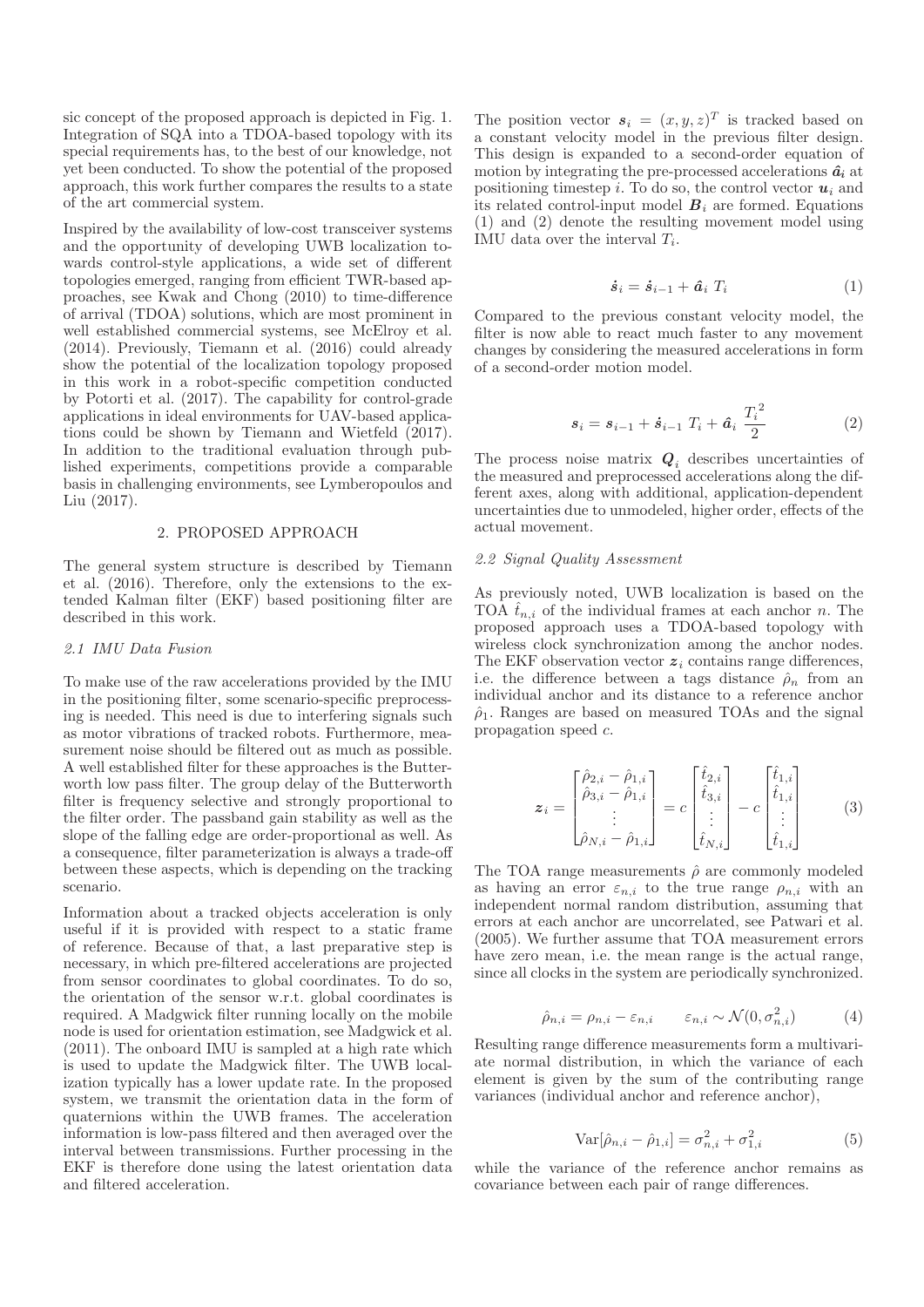sic concept of the proposed approach is depicted in Fig. 1. Integration of SQA into a TDOA-based topology with its special requirements has, to the best of our knowledge, not yet been conducted. To show the potential of the proposed approach, this work further compares the results to a state of the art commercial system.

Inspired by the availability of low-cost transceiver systems and the opportunity of developing UWB localization towards control-style applications, a wide set of different topologies emerged, ranging from efficient TWR-based approaches, see Kwak and Chong (2010) to time-difference of arrival (TDOA) solutions, which are most prominent in well established commercial systems, see McElroy et al. (2014). Previously, Tiemann et al. (2016) could already show the potential of the localization topology proposed in this work in a robot-specific competition conducted by Potorti et al. (2017). The capability for control-grade applications in ideal environments for UAV-based applications could be shown by Tiemann and Wietfeld (2017). In addition to the traditional evaluation through published experiments, competitions provide a comparable basis in challenging environments, see Lymberopoulos and Liu (2017).

#### 2. PROPOSED APPROACH

The general system structure is described by Tiemann et al. (2016). Therefore, only the extensions to the extended Kalman filter (EKF) based positioning filter are described in this work.

### 2.1 IMU Data Fusion

To make use of the raw accelerations provided by the IMU in the positioning filter, some scenario-specific preprocessing is needed. This need is due to interfering signals such as motor vibrations of tracked robots. Furthermore, measurement noise should be filtered out as much as possible. A well established filter for these approaches is the Butterworth low pass filter. The group delay of the Butterworth filter is frequency selective and strongly proportional to the filter order. The passband gain stability as well as the slope of the falling edge are order-proportional as well. As a consequence, filter parameterization is always a trade-off between these aspects, which is depending on the tracking scenario.

Information about a tracked objects acceleration is only useful if it is provided with respect to a static frame of reference. Because of that, a last preparative step is necessary, in which pre-filtered accelerations are projected from sensor coordinates to global coordinates. To do so, the orientation of the sensor w.r.t. global coordinates is required. A Madgwick filter running locally on the mobile node is used for orientation estimation, see Madgwick et al. (2011). The onboard IMU is sampled at a high rate which is used to update the Madgwick filter. The UWB localization typically has a lower update rate. In the proposed system, we transmit the orientation data in the form of quaternions within the UWB frames. The acceleration information is low-pass filtered and then averaged over the interval between transmissions. Further processing in the EKF is therefore done using the latest orientation data and filtered acceleration.

The position vector  $s_i = (x, y, z)^T$  is tracked based on a constant velocity model in the previous filter design. This design is expanded to a second-order equation of motion by integrating the pre-processed accelerations  $\hat{a}_i$  at positioning timestep i. To do so, the control vector  $u_i$  and its related control-input model  $B_i$  are formed. Equations (1) and (2) denote the resulting movement model using IMU data over the interval  $T_i$ .

$$
\dot{\boldsymbol{s}}_i = \dot{\boldsymbol{s}}_{i-1} + \hat{\boldsymbol{a}}_i \ T_i \tag{1}
$$

Compared to the previous constant velocity model, the filter is now able to react much faster to any movement changes by considering the measured accelerations in form of a second-order motion model.

$$
s_i = s_{i-1} + \dot{s}_{i-1} T_i + \hat{a}_i \frac{T_i^2}{2}
$$
 (2)

The process noise matrix  $\boldsymbol{Q}_i$  describes uncertainties of the measured and preprocessed accelerations along the different axes, along with additional, application-dependent uncertainties due to unmodeled, higher order, effects of the actual movement.

#### 2.2 Signal Quality Assessment

As previously noted, UWB localization is based on the TOA  $\hat{t}_{n,i}$  of the individual frames at each anchor n. The proposed approach uses a TDOA-based topology with wireless clock synchronization among the anchor nodes. The EKF observation vector  $z_i$  contains range differences, i.e. the difference between a tags distance  $\hat{\rho}_n$  from an individual anchor and its distance to a reference anchor  $\hat{\rho}_1$ . Ranges are based on measured TOAs and the signal propagation speed c.

$$
\mathbf{z}_{i} = \begin{bmatrix} \hat{\rho}_{2,i} - \hat{\rho}_{1,i} \\ \hat{\rho}_{3,i} - \hat{\rho}_{1,i} \\ \vdots \\ \hat{\rho}_{N,i} - \hat{\rho}_{1,i} \end{bmatrix} = c \begin{bmatrix} \hat{t}_{2,i} \\ \hat{t}_{3,i} \\ \vdots \\ \hat{t}_{N,i} \end{bmatrix} - c \begin{bmatrix} \hat{t}_{1,i} \\ \hat{t}_{1,i} \\ \vdots \\ \hat{t}_{1,i} \end{bmatrix}
$$
(3)

The TOA range measurements  $\hat{\rho}$  are commonly modeled as having an error  $\varepsilon_{n,i}$  to the true range  $\rho_{n,i}$  with an independent normal random distribution, assuming that errors at each anchor are uncorrelated, see Patwari et al. (2005). We further assume that TOA measurement errors have zero mean, i.e. the mean range is the actual range, since all clocks in the system are periodically synchronized.

$$
\hat{\rho}_{n,i} = \rho_{n,i} - \varepsilon_{n,i} \qquad \varepsilon_{n,i} \sim \mathcal{N}(0, \sigma_{n,i}^2) \tag{4}
$$

Resulting range difference measurements form a multivariate normal distribution, in which the variance of each element is given by the sum of the contributing range variances (individual anchor and reference anchor),

$$
Var[\hat{\rho}_{n,i} - \hat{\rho}_{1,i}] = \sigma_{n,i}^2 + \sigma_{1,i}^2
$$
 (5)

while the variance of the reference anchor remains as covariance between each pair of range differences.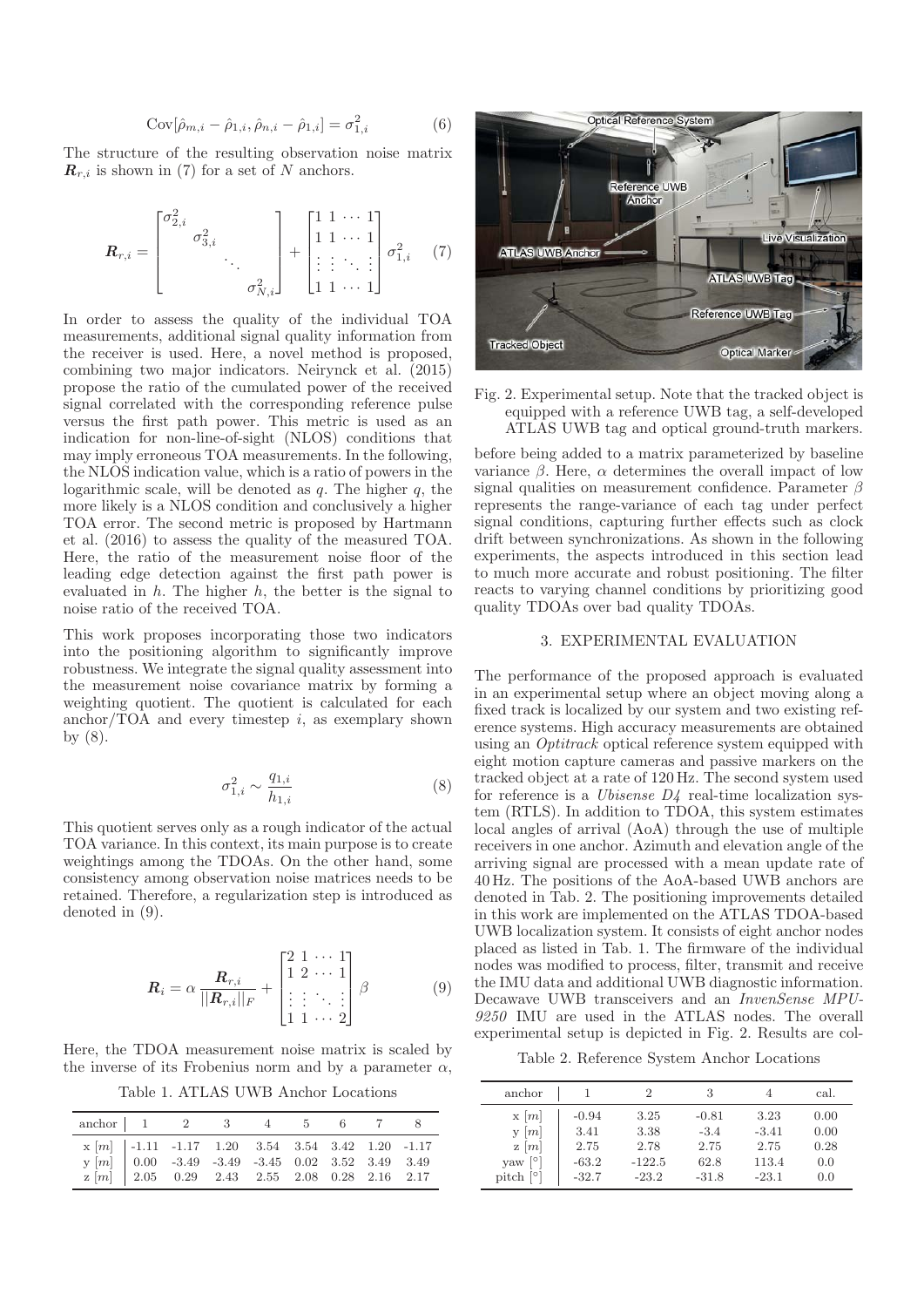$$
Cov[\hat{\rho}_{m,i} - \hat{\rho}_{1,i}, \hat{\rho}_{n,i} - \hat{\rho}_{1,i}] = \sigma_{1,i}^2
$$
 (6)

The structure of the resulting observation noise matrix  $\mathbf{R}_{r,i}$  is shown in (7) for a set of N anchors.

$$
\boldsymbol{R}_{r,i} = \begin{bmatrix} \sigma_{2,i}^2 & & \\ & \sigma_{3,i}^2 & \\ & & \ddots \\ & & & \sigma_{N,i}^2 \end{bmatrix} + \begin{bmatrix} 1 & 1 & \cdots & 1 \\ 1 & 1 & \cdots & 1 \\ \vdots & \vdots & \ddots & \vdots \\ 1 & 1 & \cdots & 1 \end{bmatrix} \sigma_{1,i}^2 \tag{7}
$$

In order to assess the quality of the individual TOA measurements, additional signal quality information from the receiver is used. Here, a novel method is proposed, combining two major indicators. Neirynck et al. (2015) propose the ratio of the cumulated power of the received signal correlated with the corresponding reference pulse versus the first path power. This metric is used as an indication for non-line-of-sight (NLOS) conditions that may imply erroneous TOA measurements. In the following, the NLOS indication value, which is a ratio of powers in the logarithmic scale, will be denoted as  $q$ . The higher  $q$ , the more likely is a NLOS condition and conclusively a higher TOA error. The second metric is proposed by Hartmann et al. (2016) to assess the quality of the measured TOA. Here, the ratio of the measurement noise floor of the leading edge detection against the first path power is evaluated in  $h$ . The higher  $h$ , the better is the signal to noise ratio of the received TOA.

This work proposes incorporating those two indicators into the positioning algorithm to significantly improve robustness. We integrate the signal quality assessment into the measurement noise covariance matrix by forming a weighting quotient. The quotient is calculated for each anchor/TOA and every timestep  $i$ , as exemplary shown by (8).

$$
\sigma_{1,i}^2 \sim \frac{q_{1,i}}{h_{1,i}} \tag{8}
$$

This quotient serves only as a rough indicator of the actual TOA variance. In this context, its main purpose is to create weightings among the TDOAs. On the other hand, some consistency among observation noise matrices needs to be retained. Therefore, a regularization step is introduced as denoted in (9).

$$
\boldsymbol{R}_{i} = \alpha \frac{\boldsymbol{R}_{r,i}}{||\boldsymbol{R}_{r,i}||_{F}} + \begin{bmatrix} 2 & 1 & \cdots & 1 \\ 1 & 2 & \cdots & 1 \\ \vdots & \vdots & \ddots & \vdots \\ 1 & 1 & \cdots & 2 \end{bmatrix} \beta \tag{9}
$$

Here, the TDOA measurement noise matrix is scaled by the inverse of its Frobenius norm and by a parameter  $\alpha$ ,

Table 1. ATLAS UWB Anchor Locations

| anchor $1 \t 2 \t 3 \t 4 \t 5 \t 6 \t 7 \t 8$                                                                                                                                                                                                            |  |  |  |  |
|----------------------------------------------------------------------------------------------------------------------------------------------------------------------------------------------------------------------------------------------------------|--|--|--|--|
| $\begin{tabular}{l cccccc} x $[m]$ & -1.11 & -1.17 & 1.20 & 3.54 & 3.54 & 3.42 & 1.20 & -1.17 \\ y $[m]$ & 0.00 & -3.49 & -3.49 & -3.45 & 0.02 & 3.52 & 3.49 & 3.49 \\ z $[m]$ & 2.05 & 0.29 & 2.43 & 2.55 & 2.08 & 0.28 & 2.16 & 2.17 \\ \end{tabular}$ |  |  |  |  |



Fig. 2. Experimental setup. Note that the tracked object is equipped with a reference UWB tag, a self-developed ATLAS UWB tag and optical ground-truth markers.

before being added to a matrix parameterized by baseline variance β. Here, α determines the overall impact of low signal qualities on measurement confidence. Parameter  $\beta$ represents the range-variance of each tag under perfect signal conditions, capturing further effects such as clock drift between synchronizations. As shown in the following experiments, the aspects introduced in this section lead to much more accurate and robust positioning. The filter reacts to varying channel conditions by prioritizing good quality TDOAs over bad quality TDOAs.

## 3. EXPERIMENTAL EVALUATION

The performance of the proposed approach is evaluated in an experimental setup where an object moving along a fixed track is localized by our system and two existing reference systems. High accuracy measurements are obtained using an Optitrack optical reference system equipped with eight motion capture cameras and passive markers on the tracked object at a rate of 120 Hz. The second system used for reference is a *Ubisense D4* real-time localization system (RTLS). In addition to TDOA, this system estimates local angles of arrival (AoA) through the use of multiple receivers in one anchor. Azimuth and elevation angle of the arriving signal are processed with a mean update rate of 40 Hz. The positions of the AoA-based UWB anchors are denoted in Tab. 2. The positioning improvements detailed in this work are implemented on the ATLAS TDOA-based UWB localization system. It consists of eight anchor nodes placed as listed in Tab. 1. The firmware of the individual nodes was modified to process, filter, transmit and receive the IMU data and additional UWB diagnostic information. Decawave UWB transceivers and an InvenSense MPU-9250 IMU are used in the ATLAS nodes. The overall experimental setup is depicted in Fig. 2. Results are col-

Table 2. Reference System Anchor Locations

| anchor                      |         | 2        | 3       |         | cal. |
|-----------------------------|---------|----------|---------|---------|------|
| x[m]                        | $-0.94$ | 3.25     | $-0.81$ | 3.23    | 0.00 |
| m <br>$\mathbf{V}$          | 3.41    | 3.38     | $-3.4$  | $-3.41$ | 0.00 |
| $z \mid m$                  | 2.75    | 2.78     | 2.75    | 2.75    | 0.28 |
| ° 1<br>vaw                  | $-63.2$ | $-122.5$ | 62.8    | 113.4   | 0.0  |
| pitch $\lceil \circ \rceil$ | $-32.7$ | $-23.2$  | $-31.8$ | $-23.1$ | 0.0  |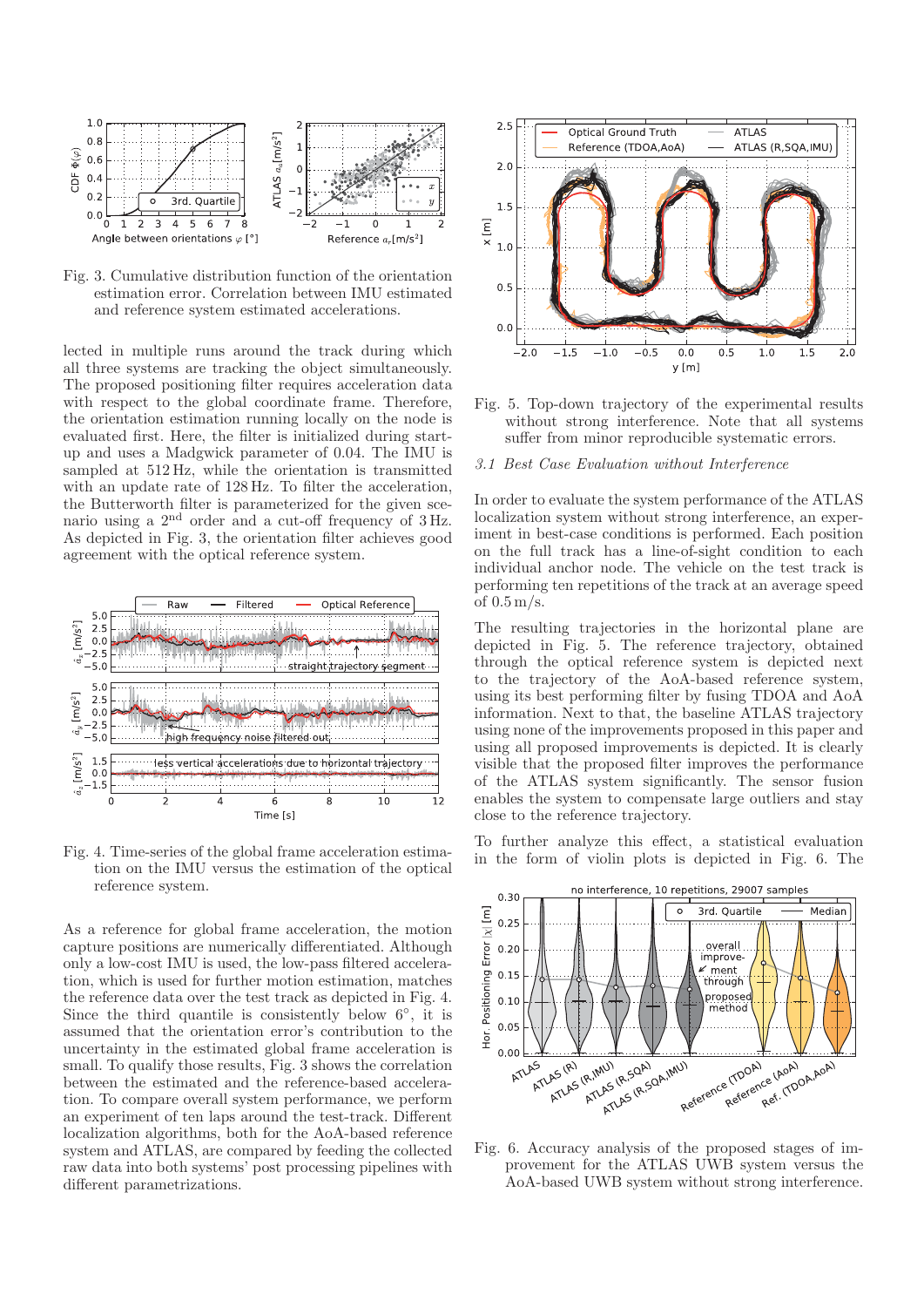

Fig. 3. Cumulative distribution function of the orientation estimation error. Correlation between IMU estimated and reference system estimated accelerations.

lected in multiple runs around the track during which all three systems are tracking the object simultaneously. The proposed positioning filter requires acceleration data with respect to the global coordinate frame. Therefore, the orientation estimation running locally on the node is evaluated first. Here, the filter is initialized during startup and uses a Madgwick parameter of 0.04. The IMU is sampled at 512 Hz, while the orientation is transmitted with an update rate of 128 Hz. To filter the acceleration, the Butterworth filter is parameterized for the given scenario using a 2nd order and a cut-off frequency of 3 Hz. As depicted in Fig. 3, the orientation filter achieves good agreement with the optical reference system.



Fig. 4. Time-series of the global frame acceleration estimation on the IMU versus the estimation of the optical reference system.

As a reference for global frame acceleration, the motion capture positions are numerically differentiated. Although only a low-cost IMU is used, the low-pass filtered acceleration, which is used for further motion estimation, matches the reference data over the test track as depicted in Fig. 4. Since the third quantile is consistently below  $6°$ , it is assumed that the orientation error's contribution to the uncertainty in the estimated global frame acceleration is small. To qualify those results, Fig. 3 shows the correlation between the estimated and the reference-based acceleration. To compare overall system performance, we perform an experiment of ten laps around the test-track. Different localization algorithms, both for the AoA-based reference system and ATLAS, are compared by feeding the collected raw data into both systems' post processing pipelines with different parametrizations.



Fig. 5. Top-down trajectory of the experimental results without strong interference. Note that all systems suffer from minor reproducible systematic errors.

#### 3.1 Best Case Evaluation without Interference

In order to evaluate the system performance of the ATLAS localization system without strong interference, an experiment in best-case conditions is performed. Each position on the full track has a line-of-sight condition to each individual anchor node. The vehicle on the test track is performing ten repetitions of the track at an average speed of  $0.5 \,\mathrm{m/s}$ .

The resulting trajectories in the horizontal plane are depicted in Fig. 5. The reference trajectory, obtained through the optical reference system is depicted next to the trajectory of the AoA-based reference system, using its best performing filter by fusing TDOA and AoA information. Next to that, the baseline ATLAS trajectory using none of the improvements proposed in this paper and using all proposed improvements is depicted. It is clearly visible that the proposed filter improves the performance of the ATLAS system significantly. The sensor fusion enables the system to compensate large outliers and stay close to the reference trajectory.

To further analyze this effect, a statistical evaluation in the form of violin plots is depicted in Fig. 6. The



Fig. 6. Accuracy analysis of the proposed stages of improvement for the ATLAS UWB system versus the AoA-based UWB system without strong interference.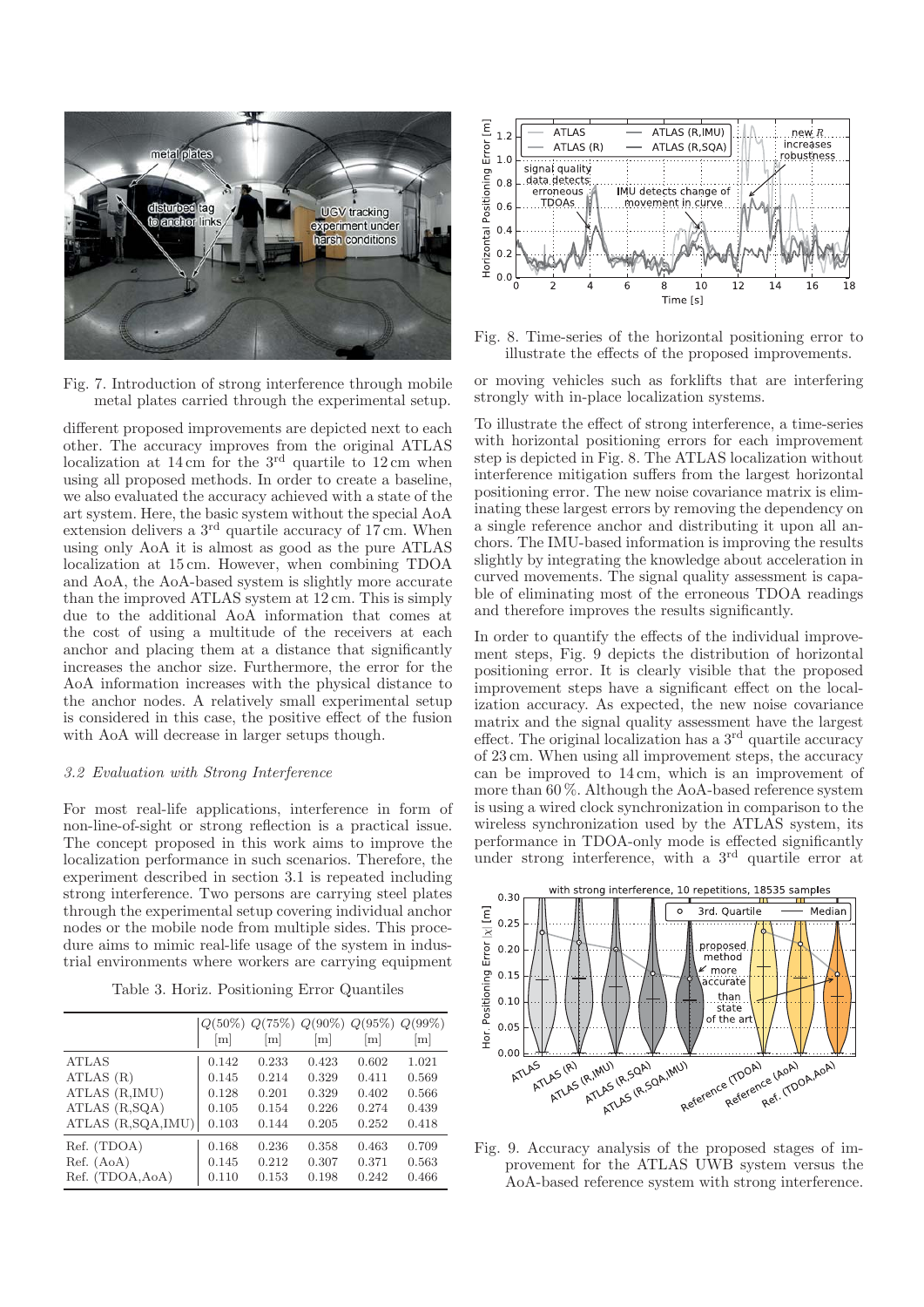

Fig. 7. Introduction of strong interference through mobile metal plates carried through the experimental setup.

different proposed improvements are depicted next to each other. The accuracy improves from the original ATLAS localization at  $14 \text{ cm}$  for the  $3^{\text{rd}}$  quartile to  $12 \text{ cm}$  when using all proposed methods. In order to create a baseline, we also evaluated the accuracy achieved with a state of the art system. Here, the basic system without the special AoA extension delivers a  $3<sup>rd</sup>$  quartile accuracy of 17 cm. When using only AoA it is almost as good as the pure ATLAS localization at 15 cm. However, when combining TDOA and AoA, the AoA-based system is slightly more accurate than the improved ATLAS system at 12 cm. This is simply due to the additional AoA information that comes at the cost of using a multitude of the receivers at each anchor and placing them at a distance that significantly increases the anchor size. Furthermore, the error for the AoA information increases with the physical distance to the anchor nodes. A relatively small experimental setup is considered in this case, the positive effect of the fusion with AoA will decrease in larger setups though.

## 3.2 Evaluation with Strong Interference

For most real-life applications, interference in form of non-line-of-sight or strong reflection is a practical issue. The concept proposed in this work aims to improve the localization performance in such scenarios. Therefore, the experiment described in section 3.1 is repeated including strong interference. Two persons are carrying steel plates through the experimental setup covering individual anchor nodes or the mobile node from multiple sides. This procedure aims to mimic real-life usage of the system in industrial environments where workers are carrying equipment

Table 3. Horiz. Positioning Error Quantiles

|                       | $Q(50\%)$<br> m | m     | m     | $Q(75\%) Q(90\%) Q(95\%)$<br>m | $Q(99\%)$<br> m |
|-----------------------|-----------------|-------|-------|--------------------------------|-----------------|
| <b>ATLAS</b>          | 0.142           | 0.233 | 0.423 | 0.602                          | 1.021           |
| ATLAS(R)              | 0.145           | 0.214 | 0.329 | 0.411                          | 0.569           |
| ATLAS (R, IMU)        | 0.128           | 0.201 | 0.329 | 0.402                          | 0.566           |
| ATLAS (R,SQA)         | 0.105           | 0.154 | 0.226 | 0.274                          | 0.439           |
| ATLAS $(R, SQA, IMU)$ | 0.103           | 0.144 | 0.205 | 0.252                          | 0.418           |
| Ref. (TDOA)           | 0.168           | 0.236 | 0.358 | 0.463                          | 0.709           |
| Ref. (AoA)            | 0.145           | 0.212 | 0.307 | 0.371                          | 0.563           |
| Ref. (TDOA, AoA)      | 0.110           | 0.153 | 0.198 | 0.242                          | 0.466           |



Fig. 8. Time-series of the horizontal positioning error to illustrate the effects of the proposed improvements.

or moving vehicles such as forklifts that are interfering strongly with in-place localization systems.

To illustrate the effect of strong interference, a time-series with horizontal positioning errors for each improvement step is depicted in Fig. 8. The ATLAS localization without interference mitigation suffers from the largest horizontal positioning error. The new noise covariance matrix is eliminating these largest errors by removing the dependency on a single reference anchor and distributing it upon all anchors. The IMU-based information is improving the results slightly by integrating the knowledge about acceleration in curved movements. The signal quality assessment is capable of eliminating most of the erroneous TDOA readings and therefore improves the results significantly.

In order to quantify the effects of the individual improvement steps, Fig. 9 depicts the distribution of horizontal positioning error. It is clearly visible that the proposed improvement steps have a significant effect on the localization accuracy. As expected, the new noise covariance matrix and the signal quality assessment have the largest effect. The original localization has a 3rd quartile accuracy of 23 cm. When using all improvement steps, the accuracy can be improved to 14 cm, which is an improvement of more than 60 %. Although the AoA-based reference system is using a wired clock synchronization in comparison to the wireless synchronization used by the ATLAS system, its performance in TDOA-only mode is effected significantly under strong interference, with a 3rd quartile error at



Fig. 9. Accuracy analysis of the proposed stages of improvement for the ATLAS UWB system versus the AoA-based reference system with strong interference.